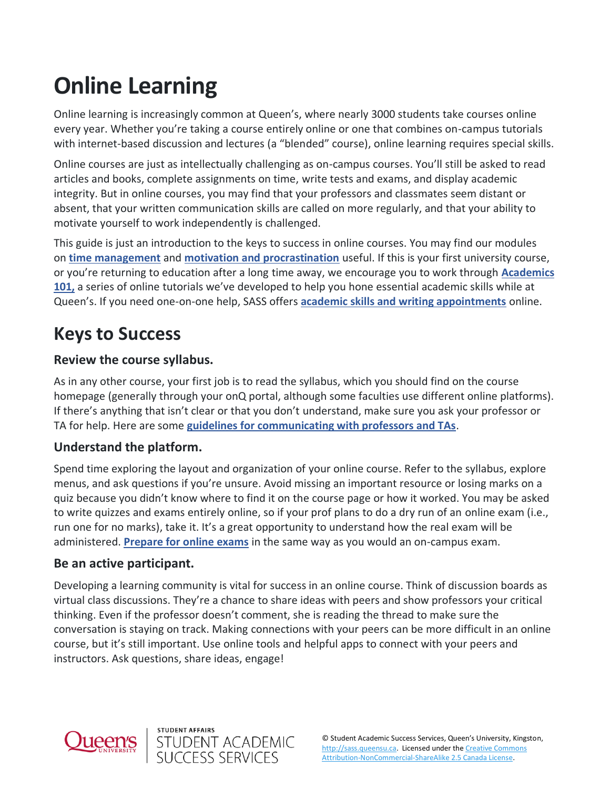# **Online Learning**

Online learning is increasingly common at Queen's, where nearly 3000 students take courses online every year. Whether you're taking a course entirely online or one that combines on-campus tutorials with internet-based discussion and lectures (a "blended" course), online learning requires special skills.

Online courses are just as intellectually challenging as on-campus courses. You'll still be asked to read articles and books, complete assignments on time, write tests and exams, and display academic integrity. But in online courses, you may find that your professors and classmates seem distant or absent, that your written communication skills are called on more regularly, and that your ability to motivate yourself to work independently is challenged.

This guide is just an introduction to the keys to success in online courses. You may find our modules on **[time management](https://sass.queensu.ca/resources/online/time-management)** and **[motivation and procrastination](https://sass.queensu.ca/resources/online/procrastination)** useful. If this is your first university course, or you're returning to education after a long time away, we encourage you to work through **[Academics](https://sass.queensu.ca/courses/academics-101/)  [101,](https://sass.queensu.ca/courses/academics-101/)** a series of online tutorials we've developed to help you hone essential academic skills while at Queen's. If you need one-on-one help, SASS offers **[academic skills and writing appointments](https://sass.queensu.ca/appointments)** online.

# **Keys to Success**

### **Review the course syllabus.**

As in any other course, your first job is to read the syllabus, which you should find on the course homepage (generally through your onQ portal, although some faculties use different online platforms). If there's anything that isn't clear or that you don't understand, make sure you ask your professor or TA for help. Here are some **[guidelines for communicating with professors and TAs](https://wp3-dev.its.queensu.ca/resources/communicating-profs-and-tas)**.

### **Understand the platform.**

Spend time exploring the layout and organization of your online course. Refer to the syllabus, explore menus, and ask questions if you're unsure. Avoid missing an important resource or losing marks on a quiz because you didn't know where to find it on the course page or how it worked. You may be asked to write quizzes and exams entirely online, so if your prof plans to do a dry run of an online exam (i.e., run one for no marks), take it. It's a great opportunity to understand how the real exam will be administered. **[Prepare for online exams](https://wp3-dev.its.queensu.ca/resources/studying-exams)** in the same way as you would an on-campus exam.

### **Be an active participant.**

Developing a learning community is vital for success in an online course. Think of discussion boards as virtual class discussions. They're a chance to share ideas with peers and show professors your critical thinking. Even if the professor doesn't comment, she is reading the thread to make sure the conversation is staying on track. Making connections with your peers can be more difficult in an online course, but it's still important. Use online tools and helpful apps to connect with your peers and instructors. Ask questions, share ideas, engage!



**STUDENT AFFAIRS** 

STUDENT ACADEMIC<br>SUCCESS SERVICES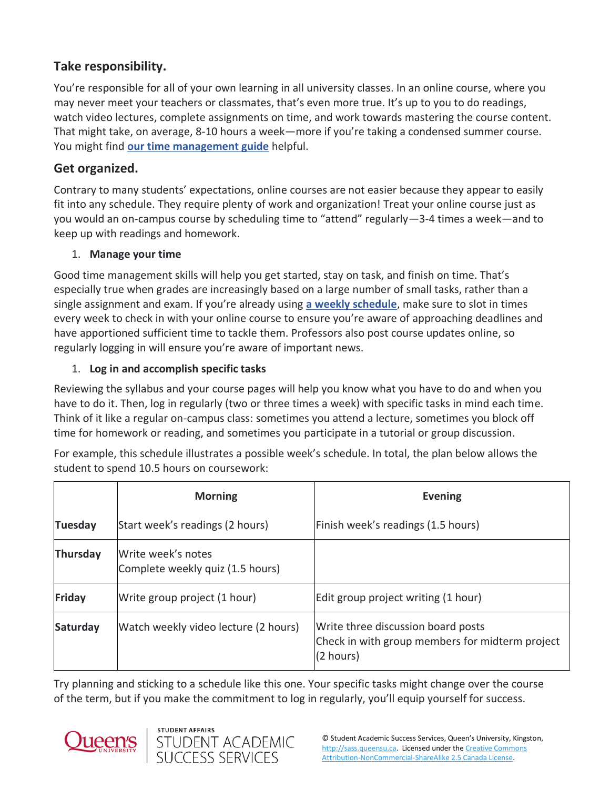### **Take responsibility.**

You're responsible for all of your own learning in all university classes. In an online course, where you may never meet your teachers or classmates, that's even more true. It's up to you to do readings, watch video lectures, complete assignments on time, and work towards mastering the course content. That might take, on average, 8-10 hours a week—more if you're taking a condensed summer course. You might find **[our time management guide](https://wp3-dev.its.queensu.ca/resources/managing-your-time-university)** helpful.

### **Get organized.**

Contrary to many students' expectations, online courses are not easier because they appear to easily fit into any schedule. They require plenty of work and organization! Treat your online course just as you would an on-campus course by scheduling time to "attend" regularly—3-4 times a week—and to keep up with readings and homework.

#### 1. **Manage your time**

Good time management skills will help you get started, stay on task, and finish on time. That's especially true when grades are increasingly based on a large number of small tasks, rather than a single assignment and exam. If you're already using **[a weekly schedule](chrome-extension://efaidnbmnnnibpcajpcglclefindmkaj/viewer.html?pdfurl=http%3A%2F%2Fsass.queensu.ca%2Fwp-content%2Fuploads%2F2021%2F10%2FWeekly-Schedule-Template-2019_fillable.pdf&clen=171043&chunk=true)**, make sure to slot in times every week to check in with your online course to ensure you're aware of approaching deadlines and have apportioned sufficient time to tackle them. Professors also post course updates online, so regularly logging in will ensure you're aware of important news.

#### 1. **Log in and accomplish specific tasks**

Reviewing the syllabus and your course pages will help you know what you have to do and when you have to do it. Then, log in regularly (two or three times a week) with specific tasks in mind each time. Think of it like a regular on-campus class: sometimes you attend a lecture, sometimes you block off time for homework or reading, and sometimes you participate in a tutorial or group discussion.

For example, this schedule illustrates a possible week's schedule. In total, the plan below allows the student to spend 10.5 hours on coursework:

|                | <b>Morning</b>                                         | <b>Evening</b>                                                                                     |
|----------------|--------------------------------------------------------|----------------------------------------------------------------------------------------------------|
| <b>Tuesday</b> | Start week's readings (2 hours)                        | Finish week's readings (1.5 hours)                                                                 |
| Thursday       | Write week's notes<br>Complete weekly quiz (1.5 hours) |                                                                                                    |
| Friday         | Write group project (1 hour)                           | Edit group project writing (1 hour)                                                                |
| Saturday       | Watch weekly video lecture (2 hours)                   | Write three discussion board posts<br>Check in with group members for midterm project<br>(2 hours) |

Try planning and sticking to a schedule like this one. Your specific tasks might change over the course of the term, but if you make the commitment to log in regularly, you'll equip yourself for success.

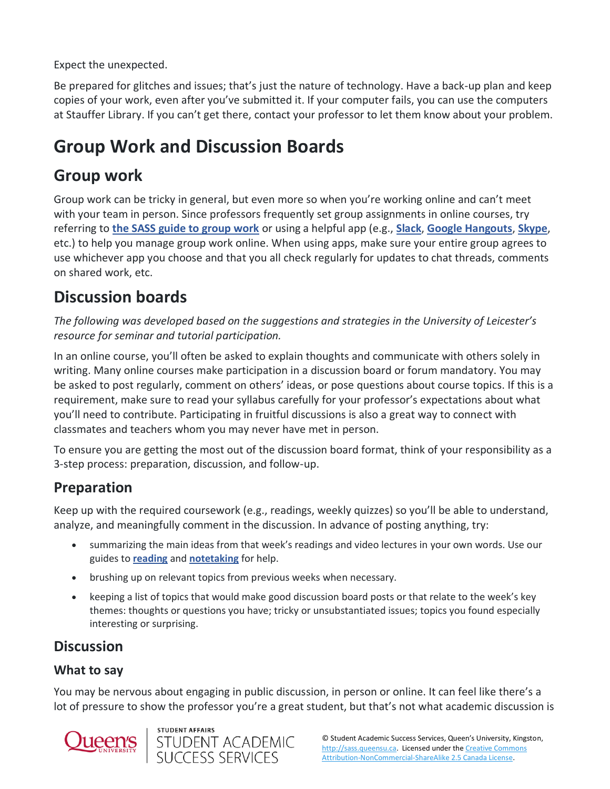Expect the unexpected.

Be prepared for glitches and issues; that's just the nature of technology. Have a back-up plan and keep copies of your work, even after you've submitted it. If your computer fails, you can use the computers at Stauffer Library. If you can't get there, contact your professor to let them know about your problem.

# **Group Work and Discussion Boards**

### **Group work**

Group work can be tricky in general, but even more so when you're working online and can't meet with your team in person. Since professors frequently set group assignments in online courses, try referring to **[the SASS guide to group work](https://wp3-dev.its.queensu.ca/resources/group-work)** or using a helpful app (e.g., **[Slack](https://slack.com/)**, **[Google Hangouts](https://hangouts.google.com/)**, **[Skype](https://www.skype.com/en/)**, etc.) to help you manage group work online. When using apps, make sure your entire group agrees to use whichever app you choose and that you all check regularly for updates to chat threads, comments on shared work, etc.

## **Discussion boards**

*The following was developed based on the suggestions and strategies in the University of Leicester's resource for seminar and tutorial participation.*

In an online course, you'll often be asked to explain thoughts and communicate with others solely in writing. Many online courses make participation in a discussion board or forum mandatory. You may be asked to post regularly, comment on others' ideas, or pose questions about course topics. If this is a requirement, make sure to read your syllabus carefully for your professor's expectations about what you'll need to contribute. Participating in fruitful discussions is also a great way to connect with classmates and teachers whom you may never have met in person.

To ensure you are getting the most out of the discussion board format, think of your responsibility as a 3-step process: preparation, discussion, and follow-up.

### **Preparation**

Keep up with the required coursework (e.g., readings, weekly quizzes) so you'll be able to understand, analyze, and meaningfully comment in the discussion. In advance of posting anything, try:

- summarizing the main ideas from that week's readings and video lectures in your own words. Use our guides to **[reading](https://wp3-dev.its.queensu.ca/resources/reading)** and **[notetaking](https://wp3-dev.its.queensu.ca/resources/note-taking)** for help.
- brushing up on relevant topics from previous weeks when necessary.
- keeping a list of topics that would make good discussion board posts or that relate to the week's key themes: thoughts or questions you have; tricky or unsubstantiated issues; topics you found especially interesting or surprising.

### **Discussion**

### **What to say**

You may be nervous about engaging in public discussion, in person or online. It can feel like there's a lot of pressure to show the professor you're a great student, but that's not what academic discussion is

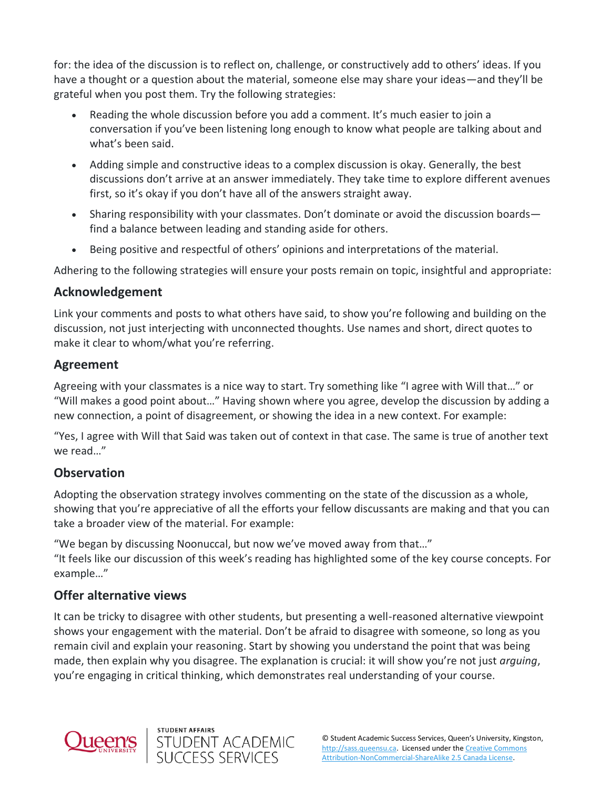for: the idea of the discussion is to reflect on, challenge, or constructively add to others' ideas. If you have a thought or a question about the material, someone else may share your ideas—and they'll be grateful when you post them. Try the following strategies:

- Reading the whole discussion before you add a comment. It's much easier to join a conversation if you've been listening long enough to know what people are talking about and what's been said.
- Adding simple and constructive ideas to a complex discussion is okay. Generally, the best discussions don't arrive at an answer immediately. They take time to explore different avenues first, so it's okay if you don't have all of the answers straight away.
- Sharing responsibility with your classmates. Don't dominate or avoid the discussion boards find a balance between leading and standing aside for others.
- Being positive and respectful of others' opinions and interpretations of the material.

Adhering to the following strategies will ensure your posts remain on topic, insightful and appropriate:

#### **Acknowledgement**

Link your comments and posts to what others have said, to show you're following and building on the discussion, not just interjecting with unconnected thoughts. Use names and short, direct quotes to make it clear to whom/what you're referring.

#### **Agreement**

Agreeing with your classmates is a nice way to start. Try something like "I agree with Will that…" or "Will makes a good point about…" Having shown where you agree, develop the discussion by adding a new connection, a point of disagreement, or showing the idea in a new context. For example:

"Yes, I agree with Will that Said was taken out of context in that case. The same is true of another text we read…"

### **Observation**

Adopting the observation strategy involves commenting on the state of the discussion as a whole, showing that you're appreciative of all the efforts your fellow discussants are making and that you can take a broader view of the material. For example:

"We began by discussing Noonuccal, but now we've moved away from that…"

"It feels like our discussion of this week's reading has highlighted some of the key course concepts. For example…"

### **Offer alternative views**

It can be tricky to disagree with other students, but presenting a well-reasoned alternative viewpoint shows your engagement with the material. Don't be afraid to disagree with someone, so long as you remain civil and explain your reasoning. Start by showing you understand the point that was being made, then explain why you disagree. The explanation is crucial: it will show you're not just *arguing*, you're engaging in critical thinking, which demonstrates real understanding of your course.



**STUDENT AFFAIRS** 

STUDENT ACADEMIC<br>SUCCESS SERVICES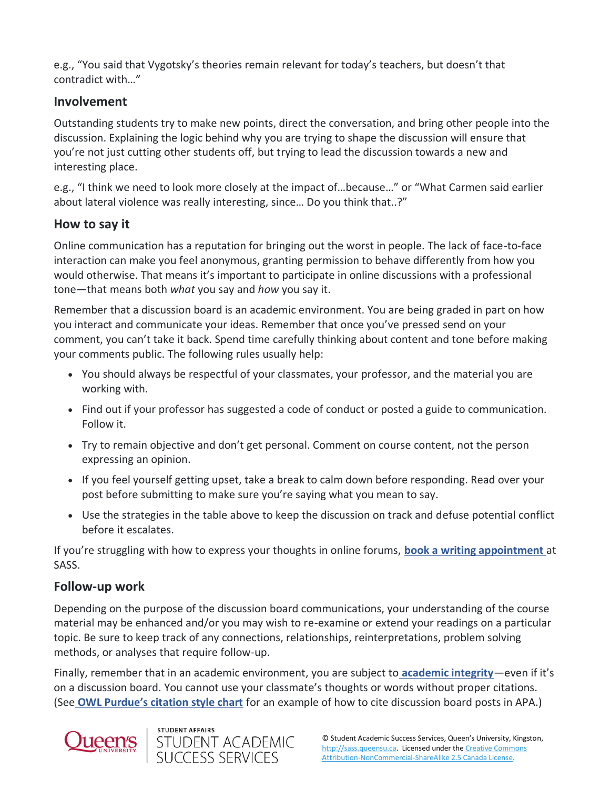e.g., "You said that Vygotsky's theories remain relevant for today's teachers, but doesn't that contradict with…"

### **Involvement**

Outstanding students try to make new points, direct the conversation, and bring other people into the discussion. Explaining the logic behind why you are trying to shape the discussion will ensure that you're not just cutting other students off, but trying to lead the discussion towards a new and interesting place.

e.g., "I think we need to look more closely at the impact of…because…" or "What Carmen said earlier about lateral violence was really interesting, since… Do you think that..?"

### **How to say it**

Online communication has a reputation for bringing out the worst in people. The lack of face-to-face interaction can make you feel anonymous, granting permission to behave differently from how you would otherwise. That means it's important to participate in online discussions with a professional tone—that means both *what* you say and *how* you say it.

Remember that a discussion board is an academic environment. You are being graded in part on how you interact and communicate your ideas. Remember that once you've pressed send on your comment, you can't take it back. Spend time carefully thinking about content and tone before making your comments public. The following rules usually help:

- You should always be respectful of your classmates, your professor, and the material you are working with.
- Find out if your professor has suggested a code of conduct or posted a guide to communication. Follow it.
- Try to remain objective and don't get personal. Comment on course content, not the person expressing an opinion.
- If you feel yourself getting upset, take a break to calm down before responding. Read over your post before submitting to make sure you're saying what you mean to say.
- Use the strategies in the table above to keep the discussion on track and defuse potential conflict before it escalates.

If you're struggling with how to express your thoughts in online forums, **[book a writing appointment](https://queensu.mywconline.com/schedule.php)** at SASS.

### **Follow-up work**

Depending on the purpose of the discussion board communications, your understanding of the course material may be enhanced and/or you may wish to re-examine or extend your readings on a particular topic. Be sure to keep track of any connections, relationships, reinterpretations, problem solving methods, or analyses that require follow-up.

Finally, remember that in an academic environment, you are subject to **[academic integrity](https://sass.queensu.ca/resources/online/academic-integrity)**—even if it's on a discussion board. You cannot use your classmate's thoughts or words without proper citations. (See **[OWL Purdue's citation style chart](https://owl.english.purdue.edu/owl/resource/949/01/)** for an example of how to cite discussion board posts in APA.)



**STUDENT AFFAIRS**